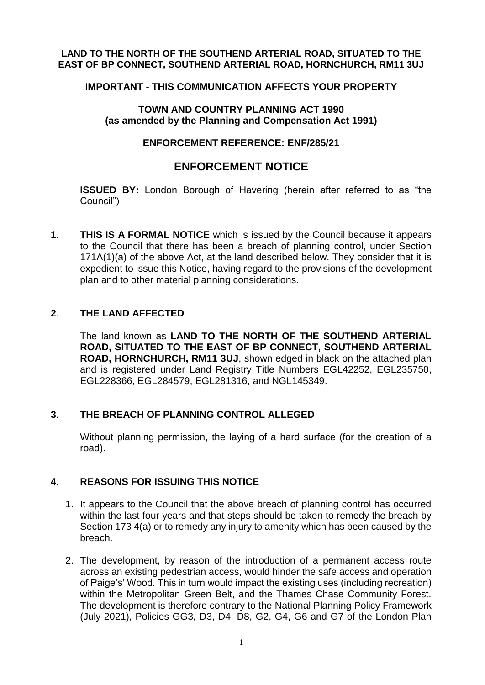#### LAND TO THE NORTH OF THE SOUTHEND ARTERIAL ROAD, SITUATED TO THE  **EAST OF BP CONNECT, SOUTHEND ARTERIAL ROAD, HORNCHURCH, RM11 3UJ**

#### **IMPORTANT - THIS COMMUNICATION AFFECTS YOUR PROPERTY**

### **TOWN AND COUNTRY PLANNING ACT 1990 (as amended by the Planning and Compensation Act 1991)**

### **ENFORCEMENT REFERENCE: ENF/285/21**

# **ENFORCEMENT NOTICE**

 **ISSUED BY:** London Borough of Havering (herein after referred to as "the Council")

 **1**. **THIS IS A FORMAL NOTICE** which is issued by the Council because it appears to the Council that there has been a breach of planning control, under Section 171A(1)(a) of the above Act, at the land described below. They consider that it is expedient to issue this Notice, having regard to the provisions of the development plan and to other material planning considerations. **LAND TO THE NORTH OF THE SOUTHEND ARTERIAL ROAD, SITUATED TO THE NORTHOT AND COUNTRY PLANNING ACT 1990<br>
(as amended by the Planning and Compensation Act 1991)<br>
(as amended by the Planning and Compensation Act 1991)<br>
ENFOR** 

### **2**. **THE LAND AFFECTED**

 The land known as **LAND TO THE NORTH OF THE SOUTHEND ARTERIAL ROAD, HORNCHURCH, RM11 3UJ**, shown edged in black on the attached plan and is registered under Land Registry Title Numbers EGL42252, EGL235750, **ROAD, SITUATED TO THE EAST OF BP CONNECT, SOUTHEND ARTERIAL** EGL228366, EGL284579, EGL281316, and NGL145349.

### **3**. **THE BREACH OF PLANNING CONTROL ALLEGED**

 Without planning permission, the laying of a hard surface (for the creation of a road).

## **4**. **REASONS FOR ISSUING THIS NOTICE**

- 1. It appears to the Council that the above breach of planning control has occurred within the last four years and that steps should be taken to remedy the breach by Section 173 4(a) or to remedy any injury to amenity which has been caused by the breach.
- 2. The development, by reason of the introduction of a permanent access route across an existing pedestrian access, would hinder the safe access and operation of Paige's' Wood. This in turn would impact the existing uses (including recreation) within the Metropolitan Green Belt, and the Thames Chase Community Forest. (July 2021), Policies GG3, D3, D4, D8, G2, G4, G6 and G7 of the London Plan The development is therefore contrary to the National Planning Policy Framework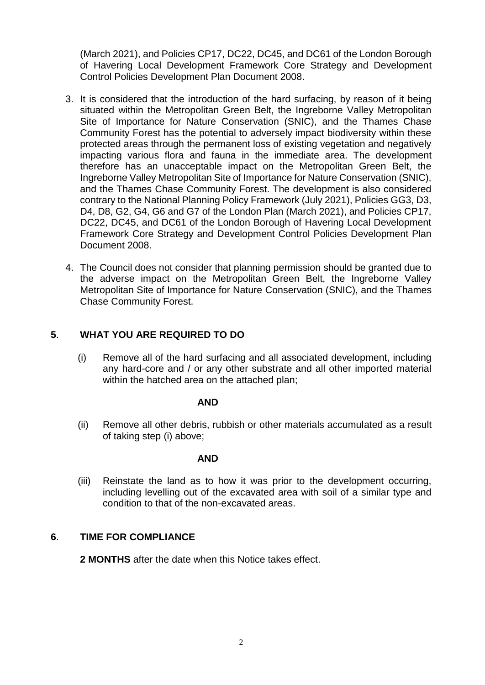(March 2021), and Policies CP17, DC22, DC45, and DC61 of the London Borough of Havering Local Development Framework Core Strategy and Development Control Policies Development Plan Document 2008.

- 3. It is considered that the introduction of the hard surfacing, by reason of it being situated within the Metropolitan Green Belt, the Ingreborne Valley Metropolitan Site of Importance for Nature Conservation (SNIC), and the Thames Chase Community Forest has the potential to adversely impact biodiversity within these protected areas through the permanent loss of existing vegetation and negatively impacting various flora and fauna in the immediate area. The development therefore has an unacceptable impact on the Metropolitan Green Belt, the Ingreborne Valley Metropolitan Site of Importance for Nature Conservation (SNIC), and the Thames Chase Community Forest. The development is also considered contrary to the National Planning Policy Framework (July 2021), Policies GG3, D3, D4, D8, G2, G4, G6 and G7 of the London Plan (March 2021), and Policies CP17, DC22, DC45, and DC61 of the London Borough of Havering Local Development Framework Core Strategy and Development Control Policies Development Plan Document 2008.
- the adverse impact on the Metropolitan Green Belt, the Ingreborne Valley Metropolitan Site of Importance for Nature Conservation (SNIC), and the Thames 4. The Council does not consider that planning permission should be granted due to Chase Community Forest.

## **5**. **WHAT YOU ARE REQUIRED TO DO**

 (i) Remove all of the hard surfacing and all associated development, including any hard-core and / or any other substrate and all other imported material within the hatched area on the attached plan;

#### **AND**

 (ii) Remove all other debris, rubbish or other materials accumulated as a result of taking step (i) above;

#### **AND**

 (iii) Reinstate the land as to how it was prior to the development occurring, including levelling out of the excavated area with soil of a similar type and condition to that of the non-excavated areas.

#### **6**. **TIME FOR COMPLIANCE**

**2 MONTHS** after the date when this Notice takes effect.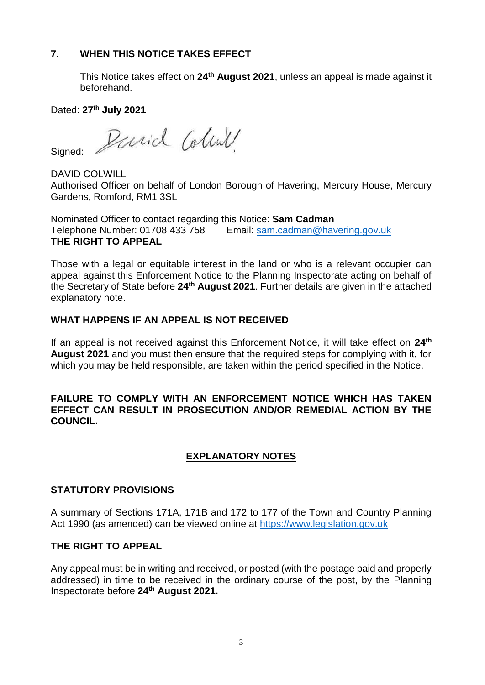## **7**. **WHEN THIS NOTICE TAKES EFFECT**

 This Notice takes effect on **24th August 2021**, unless an appeal is made against it beforehand.

Dated: **27th July 2021** 

Sianed: Signed: Pariol Colink

 Authorised Officer on behalf of London Borough of Havering, Mercury House, Mercury Gardens, Romford, RM1 3SL

Nominated Officer to contact regarding this Notice: **Sam Cadman**  Telephone Number: 01708 433 758 Email: [sam.cadman@havering.gov.uk](mailto:sam.cadman@havering.gov.uk)  **THE RIGHT TO APPEAL** 

 Those with a legal or equitable interest in the land or who is a relevant occupier can appeal against this Enforcement Notice to the Planning Inspectorate acting on behalf of the Secretary of State before **24th August 2021**. Further details are given in the attached explanatory note.

### **WHAT HAPPENS IF AN APPEAL IS NOT RECEIVED**

 If an appeal is not received against this Enforcement Notice, it will take effect on **24th August 2021** and you must then ensure that the required steps for complying with it, for which you may be held responsible, are taken within the period specified in the Notice.

## **FAILURE TO COMPLY WITH AN ENFORCEMENT NOTICE WHICH HAS TAKEN EFFECT CAN RESULT IN PROSECUTION AND/OR REMEDIAL ACTION BY THE COUNCIL.**

# **EXPLANATORY NOTES**

## **STATUTORY PROVISIONS**

 A summary of Sections 171A, 171B and 172 to 177 of the Town and Country Planning Act 1990 (as amended) can be viewed online at<https://www.legislation.gov.uk>

### **THE RIGHT TO APPEAL**

 Any appeal must be in writing and received, or posted (with the postage paid and properly addressed) in time to be received in the ordinary course of the post, by the Planning Inspectorate before **24th August 2021.**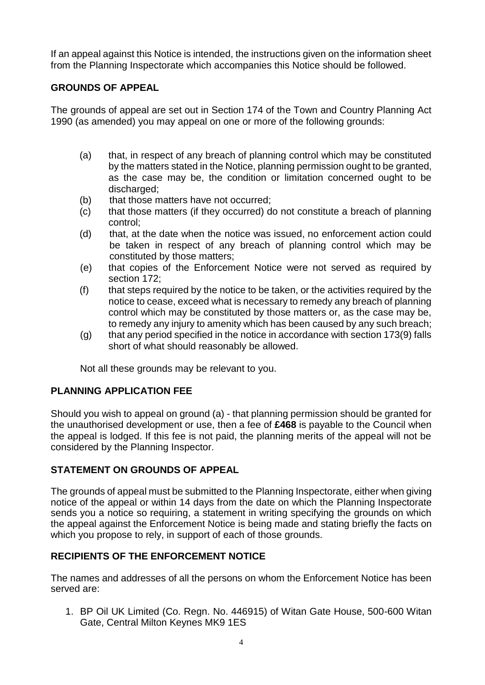If an appeal against this Notice is intended, the instructions given on the information sheet from the Planning Inspectorate which accompanies this Notice should be followed.

## **GROUNDS OF APPEAL**

 The grounds of appeal are set out in Section 174 of the Town and Country Planning Act 1990 (as amended) you may appeal on one or more of the following grounds:

- (a) that, in respect of any breach of planning control which may be constituted by the matters stated in the Notice, planning permission ought to be granted, as the case may be, the condition or limitation concerned ought to be discharged;
- (b) that those matters have not occurred;
- (c) that those matters (if they occurred) do not constitute a breach of planning control;
- (d) that, at the date when the notice was issued, no enforcement action could be taken in respect of any breach of planning control which may be constituted by those matters;
- (e) that copies of the Enforcement Notice were not served as required by section 172;
- (f) that steps required by the notice to be taken, or the activities required by the notice to cease, exceed what is necessary to remedy any breach of planning control which may be constituted by those matters or, as the case may be, to remedy any injury to amenity which has been caused by any such breach;
- (g) that any period specified in the notice in accordance with section 173(9) falls short of what should reasonably be allowed.

Not all these grounds may be relevant to you.

## **PLANNING APPLICATION FEE**

 Should you wish to appeal on ground (a) - that planning permission should be granted for the unauthorised development or use, then a fee of **£468** is payable to the Council when the appeal is lodged. If this fee is not paid, the planning merits of the appeal will not be considered by the Planning Inspector.

## **STATEMENT ON GROUNDS OF APPEAL**

 The grounds of appeal must be submitted to the Planning Inspectorate, either when giving notice of the appeal or within 14 days from the date on which the Planning Inspectorate sends you a notice so requiring, a statement in writing specifying the grounds on which the appeal against the Enforcement Notice is being made and stating briefly the facts on which you propose to rely, in support of each of those grounds.

## **RECIPIENTS OF THE ENFORCEMENT NOTICE**

 The names and addresses of all the persons on whom the Enforcement Notice has been served are:

 1. BP Oil UK Limited (Co. Regn. No. 446915) of Witan Gate House, 500-600 Witan Gate, Central Milton Keynes MK9 1ES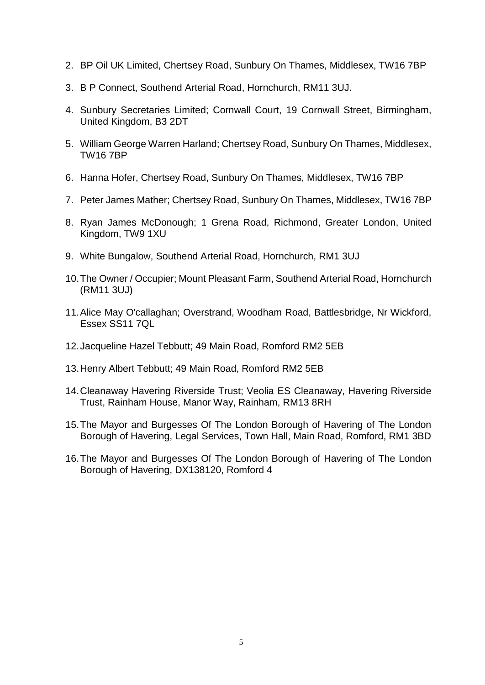- 2. BP Oil UK Limited, Chertsey Road, Sunbury On Thames, Middlesex, TW16 7BP
- 3. B P Connect, Southend Arterial Road, Hornchurch, RM11 3UJ.
- 4. Sunbury Secretaries Limited; Cornwall Court, 19 Cornwall Street, Birmingham, United Kingdom, B3 2DT
- 5. William George Warren Harland; Chertsey Road, Sunbury On Thames, Middlesex, TW16 7BP
- 6. Hanna Hofer, Chertsey Road, Sunbury On Thames, Middlesex, TW16 7BP
- 7. Peter James Mather; Chertsey Road, Sunbury On Thames, Middlesex, TW16 7BP
- 8. Ryan James McDonough; 1 Grena Road, Richmond, Greater London, United Kingdom, TW9 1XU
- 9. White Bungalow, Southend Arterial Road, Hornchurch, RM1 3UJ
- 10.The Owner / Occupier; Mount Pleasant Farm, Southend Arterial Road, Hornchurch (RM11 3UJ)
- 11.Alice May O'callaghan; Overstrand, Woodham Road, Battlesbridge, Nr Wickford, Essex SS11 7QL
- 12.Jacqueline Hazel Tebbutt; 49 Main Road, Romford RM2 5EB
- 13.Henry Albert Tebbutt; 49 Main Road, Romford RM2 5EB
- 14.Cleanaway Havering Riverside Trust; Veolia ES Cleanaway, Havering Riverside Trust, Rainham House, Manor Way, Rainham, RM13 8RH
- 15.The Mayor and Burgesses Of The London Borough of Havering of The London Borough of Havering, Legal Services, Town Hall, Main Road, Romford, RM1 3BD
- 16.The Mayor and Burgesses Of The London Borough of Havering of The London Borough of Havering, DX138120, Romford 4